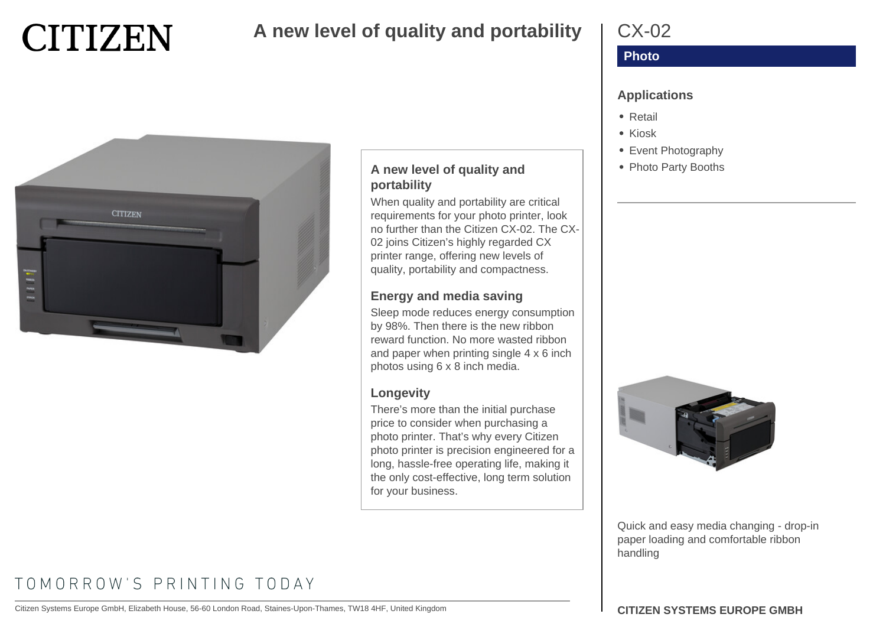# **CITIZEN**

## **A new level of quality and portability**



## **A new level of quality and portability**

When quality and portability are critical requirements for your photo printer, look no further than the Citizen CX-02. The CX-02 joins Citizen's highly regarded CX printer range, offering new levels of quality, portability and compactness.

#### **Energy and media saving**

Sleep mode reduces energy consumption by 98%. Then there is the new ribbon reward function. No more wasted ribbon and paper when printing single 4 x 6 inch photos using 6 x 8 inch media.

#### **Longevity**

There's more than the initial purchase price to consider when purchasing a photo printer. That's why every Citizen photo printer is precision engineered for a long, hassle-free operating life, making it the only cost-effective, long term solution for your business.

## CX-02

## **Photo**

#### **Applications**

- Retail
- Kiosk
- Event Photography
- Photo Party Booths



Quick and easy media changing - drop-in paper loading and comfortable ribbon handling

# TOMORROW'S PRINTING TODAY

Citizen Systems Europe GmbH, Elizabeth House, 56-60 London Road, Staines-Upon-Thames, TW18 4HF, United Kingdom **CITIZEN SYSTEMS EUROPE GMBH**